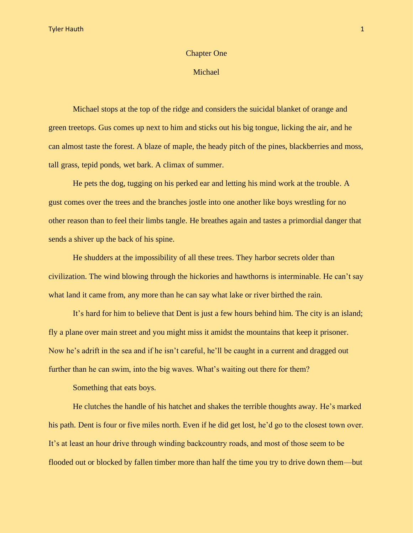## Chapter One

## Michael

Michael stops at the top of the ridge and considers the suicidal blanket of orange and green treetops. Gus comes up next to him and sticks out his big tongue, licking the air, and he can almost taste the forest. A blaze of maple, the heady pitch of the pines, blackberries and moss, tall grass, tepid ponds, wet bark. A climax of summer.

He pets the dog, tugging on his perked ear and letting his mind work at the trouble. A gust comes over the trees and the branches jostle into one another like boys wrestling for no other reason than to feel their limbs tangle. He breathes again and tastes a primordial danger that sends a shiver up the back of his spine.

He shudders at the impossibility of all these trees. They harbor secrets older than civilization. The wind blowing through the hickories and hawthorns is interminable. He can't say what land it came from, any more than he can say what lake or river birthed the rain.

It's hard for him to believe that Dent is just a few hours behind him. The city is an island; fly a plane over main street and you might miss it amidst the mountains that keep it prisoner. Now he's adrift in the sea and if he isn't careful, he'll be caught in a current and dragged out further than he can swim, into the big waves. What's waiting out there for them?

Something that eats boys.

He clutches the handle of his hatchet and shakes the terrible thoughts away. He's marked his path. Dent is four or five miles north. Even if he did get lost, he'd go to the closest town over. It's at least an hour drive through winding backcountry roads, and most of those seem to be flooded out or blocked by fallen timber more than half the time you try to drive down them—but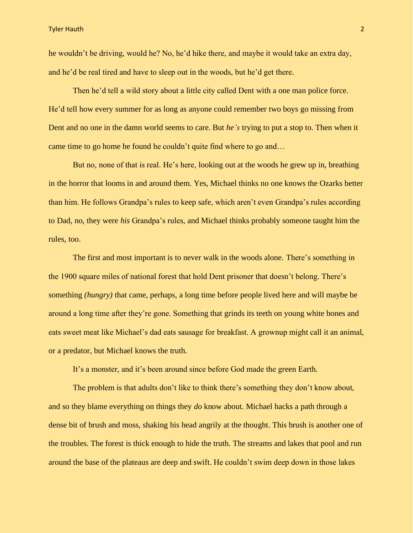he wouldn't be driving, would he? No, he'd hike there, and maybe it would take an extra day, and he'd be real tired and have to sleep out in the woods, but he'd get there.

Then he'd tell a wild story about a little city called Dent with a one man police force. He'd tell how every summer for as long as anyone could remember two boys go missing from Dent and no one in the damn world seems to care. But *he's* trying to put a stop to. Then when it came time to go home he found he couldn't quite find where to go and…

But no, none of that is real. He's here, looking out at the woods he grew up in, breathing in the horror that looms in and around them. Yes, Michael thinks no one knows the Ozarks better than him. He follows Grandpa's rules to keep safe, which aren't even Grandpa's rules according to Dad, no, they were *his* Grandpa's rules, and Michael thinks probably someone taught him the rules, too.

The first and most important is to never walk in the woods alone. There's something in the 1900 square miles of national forest that hold Dent prisoner that doesn't belong. There's something *(hungry)* that came, perhaps, a long time before people lived here and will maybe be around a long time after they're gone. Something that grinds its teeth on young white bones and eats sweet meat like Michael's dad eats sausage for breakfast. A grownup might call it an animal, or a predator, but Michael knows the truth.

It's a monster, and it's been around since before God made the green Earth.

The problem is that adults don't like to think there's something they don't know about, and so they blame everything on things they *do* know about. Michael hacks a path through a dense bit of brush and moss, shaking his head angrily at the thought. This brush is another one of the troubles. The forest is thick enough to hide the truth. The streams and lakes that pool and run around the base of the plateaus are deep and swift. He couldn't swim deep down in those lakes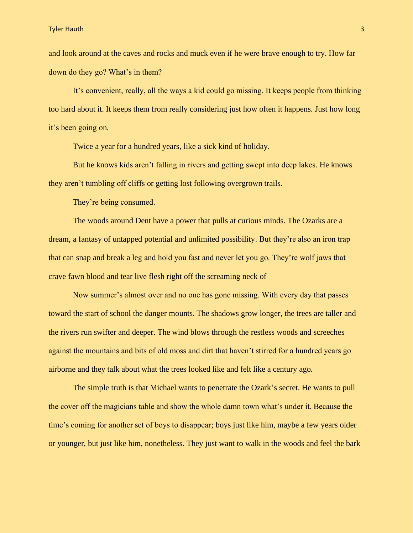and look around at the caves and rocks and muck even if he were brave enough to try. How far down do they go? What's in them?

It's convenient, really, all the ways a kid could go missing. It keeps people from thinking too hard about it. It keeps them from really considering just how often it happens. Just how long it's been going on.

Twice a year for a hundred years, like a sick kind of holiday.

But he knows kids aren't falling in rivers and getting swept into deep lakes. He knows they aren't tumbling off cliffs or getting lost following overgrown trails.

They're being consumed.

The woods around Dent have a power that pulls at curious minds. The Ozarks are a dream, a fantasy of untapped potential and unlimited possibility. But they're also an iron trap that can snap and break a leg and hold you fast and never let you go. They're wolf jaws that crave fawn blood and tear live flesh right off the screaming neck of—

Now summer's almost over and no one has gone missing. With every day that passes toward the start of school the danger mounts. The shadows grow longer, the trees are taller and the rivers run swifter and deeper. The wind blows through the restless woods and screeches against the mountains and bits of old moss and dirt that haven't stirred for a hundred years go airborne and they talk about what the trees looked like and felt like a century ago.

The simple truth is that Michael wants to penetrate the Ozark's secret. He wants to pull the cover off the magicians table and show the whole damn town what's under it. Because the time's coming for another set of boys to disappear; boys just like him, maybe a few years older or younger, but just like him, nonetheless. They just want to walk in the woods and feel the bark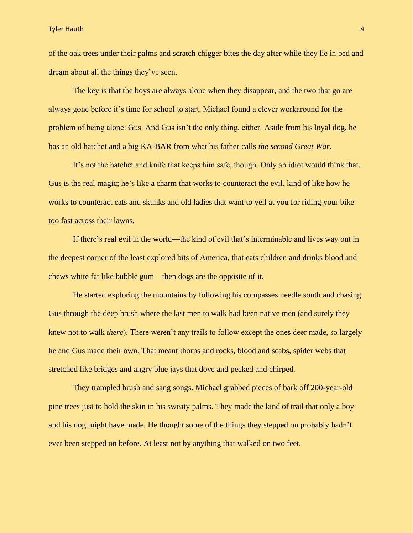Tyler Hauth 4

of the oak trees under their palms and scratch chigger bites the day after while they lie in bed and dream about all the things they've seen.

The key is that the boys are always alone when they disappear, and the two that go are always gone before it's time for school to start. Michael found a clever workaround for the problem of being alone: Gus. And Gus isn't the only thing, either. Aside from his loyal dog, he has an old hatchet and a big KA-BAR from what his father calls *the second Great War*.

It's not the hatchet and knife that keeps him safe, though. Only an idiot would think that. Gus is the real magic; he's like a charm that works to counteract the evil, kind of like how he works to counteract cats and skunks and old ladies that want to yell at you for riding your bike too fast across their lawns.

If there's real evil in the world—the kind of evil that's interminable and lives way out in the deepest corner of the least explored bits of America, that eats children and drinks blood and chews white fat like bubble gum—then dogs are the opposite of it.

He started exploring the mountains by following his compasses needle south and chasing Gus through the deep brush where the last men to walk had been native men (and surely they knew not to walk *there*). There weren't any trails to follow except the ones deer made, so largely he and Gus made their own. That meant thorns and rocks, blood and scabs, spider webs that stretched like bridges and angry blue jays that dove and pecked and chirped.

They trampled brush and sang songs. Michael grabbed pieces of bark off 200-year-old pine trees just to hold the skin in his sweaty palms. They made the kind of trail that only a boy and his dog might have made. He thought some of the things they stepped on probably hadn't ever been stepped on before. At least not by anything that walked on two feet.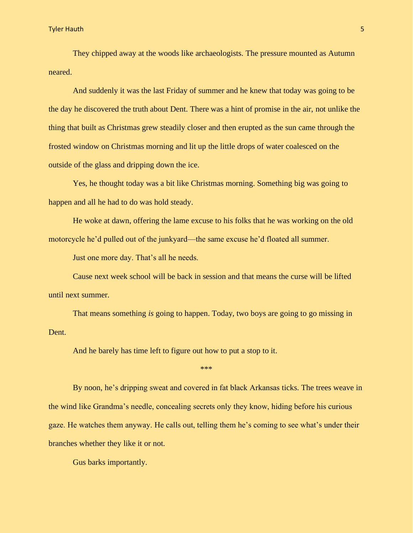Tyler Hauth 1988 – Samuel Communication of the Communication of the Communication of the Communication of the C

They chipped away at the woods like archaeologists. The pressure mounted as Autumn neared.

And suddenly it was the last Friday of summer and he knew that today was going to be the day he discovered the truth about Dent. There was a hint of promise in the air, not unlike the thing that built as Christmas grew steadily closer and then erupted as the sun came through the frosted window on Christmas morning and lit up the little drops of water coalesced on the outside of the glass and dripping down the ice.

Yes, he thought today was a bit like Christmas morning. Something big was going to happen and all he had to do was hold steady.

He woke at dawn, offering the lame excuse to his folks that he was working on the old motorcycle he'd pulled out of the junkyard—the same excuse he'd floated all summer.

Just one more day. That's all he needs.

Cause next week school will be back in session and that means the curse will be lifted until next summer.

That means something *is* going to happen. Today, two boys are going to go missing in Dent.

And he barely has time left to figure out how to put a stop to it.

\*\*\*

By noon, he's dripping sweat and covered in fat black Arkansas ticks. The trees weave in the wind like Grandma's needle, concealing secrets only they know, hiding before his curious gaze. He watches them anyway. He calls out, telling them he's coming to see what's under their branches whether they like it or not.

Gus barks importantly.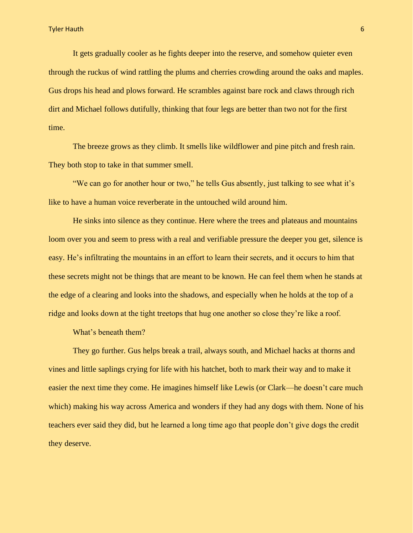It gets gradually cooler as he fights deeper into the reserve, and somehow quieter even through the ruckus of wind rattling the plums and cherries crowding around the oaks and maples. Gus drops his head and plows forward. He scrambles against bare rock and claws through rich dirt and Michael follows dutifully, thinking that four legs are better than two not for the first time.

The breeze grows as they climb. It smells like wildflower and pine pitch and fresh rain. They both stop to take in that summer smell.

"We can go for another hour or two," he tells Gus absently, just talking to see what it's like to have a human voice reverberate in the untouched wild around him.

He sinks into silence as they continue. Here where the trees and plateaus and mountains loom over you and seem to press with a real and verifiable pressure the deeper you get, silence is easy. He's infiltrating the mountains in an effort to learn their secrets, and it occurs to him that these secrets might not be things that are meant to be known. He can feel them when he stands at the edge of a clearing and looks into the shadows, and especially when he holds at the top of a ridge and looks down at the tight treetops that hug one another so close they're like a roof.

What's beneath them?

They go further. Gus helps break a trail, always south, and Michael hacks at thorns and vines and little saplings crying for life with his hatchet, both to mark their way and to make it easier the next time they come. He imagines himself like Lewis (or Clark—he doesn't care much which) making his way across America and wonders if they had any dogs with them. None of his teachers ever said they did, but he learned a long time ago that people don't give dogs the credit they deserve.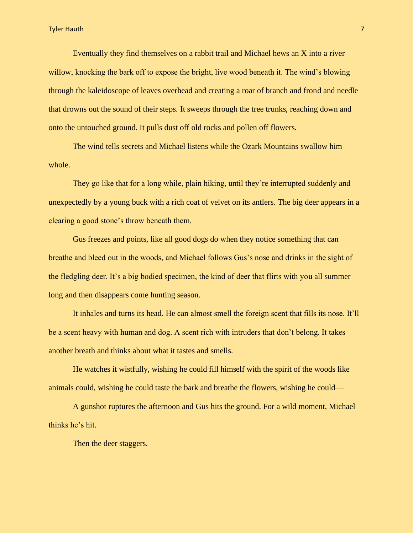Eventually they find themselves on a rabbit trail and Michael hews an X into a river willow, knocking the bark off to expose the bright, live wood beneath it. The wind's blowing through the kaleidoscope of leaves overhead and creating a roar of branch and frond and needle that drowns out the sound of their steps. It sweeps through the tree trunks, reaching down and onto the untouched ground. It pulls dust off old rocks and pollen off flowers.

The wind tells secrets and Michael listens while the Ozark Mountains swallow him whole.

They go like that for a long while, plain hiking, until they're interrupted suddenly and unexpectedly by a young buck with a rich coat of velvet on its antlers. The big deer appears in a clearing a good stone's throw beneath them.

Gus freezes and points, like all good dogs do when they notice something that can breathe and bleed out in the woods, and Michael follows Gus's nose and drinks in the sight of the fledgling deer. It's a big bodied specimen, the kind of deer that flirts with you all summer long and then disappears come hunting season.

It inhales and turns its head. He can almost smell the foreign scent that fills its nose. It'll be a scent heavy with human and dog. A scent rich with intruders that don't belong. It takes another breath and thinks about what it tastes and smells.

He watches it wistfully, wishing he could fill himself with the spirit of the woods like animals could, wishing he could taste the bark and breathe the flowers, wishing he could—

A gunshot ruptures the afternoon and Gus hits the ground. For a wild moment, Michael thinks he's hit.

Then the deer staggers.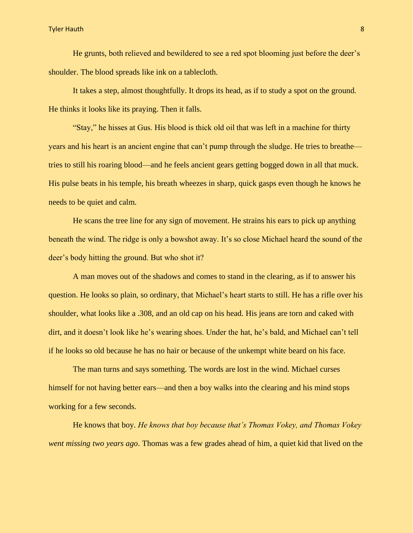He grunts, both relieved and bewildered to see a red spot blooming just before the deer's shoulder. The blood spreads like ink on a tablecloth.

It takes a step, almost thoughtfully. It drops its head, as if to study a spot on the ground. He thinks it looks like its praying. Then it falls.

"Stay," he hisses at Gus. His blood is thick old oil that was left in a machine for thirty years and his heart is an ancient engine that can't pump through the sludge. He tries to breathe tries to still his roaring blood—and he feels ancient gears getting bogged down in all that muck. His pulse beats in his temple, his breath wheezes in sharp, quick gasps even though he knows he needs to be quiet and calm.

He scans the tree line for any sign of movement. He strains his ears to pick up anything beneath the wind. The ridge is only a bowshot away. It's so close Michael heard the sound of the deer's body hitting the ground. But who shot it?

A man moves out of the shadows and comes to stand in the clearing, as if to answer his question. He looks so plain, so ordinary, that Michael's heart starts to still. He has a rifle over his shoulder, what looks like a .308, and an old cap on his head. His jeans are torn and caked with dirt, and it doesn't look like he's wearing shoes. Under the hat, he's bald, and Michael can't tell if he looks so old because he has no hair or because of the unkempt white beard on his face.

The man turns and says something. The words are lost in the wind. Michael curses himself for not having better ears—and then a boy walks into the clearing and his mind stops working for a few seconds.

He knows that boy. *He knows that boy because that's Thomas Vokey, and Thomas Vokey went missing two years ago*. Thomas was a few grades ahead of him, a quiet kid that lived on the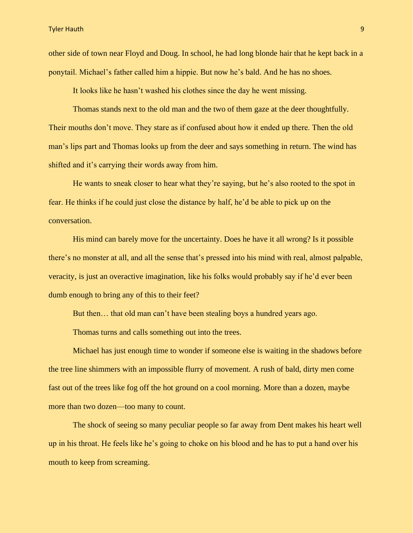Tyler Hauth 9

other side of town near Floyd and Doug. In school, he had long blonde hair that he kept back in a ponytail. Michael's father called him a hippie. But now he's bald. And he has no shoes.

It looks like he hasn't washed his clothes since the day he went missing.

Thomas stands next to the old man and the two of them gaze at the deer thoughtfully. Their mouths don't move. They stare as if confused about how it ended up there. Then the old man's lips part and Thomas looks up from the deer and says something in return. The wind has shifted and it's carrying their words away from him.

He wants to sneak closer to hear what they're saying, but he's also rooted to the spot in fear. He thinks if he could just close the distance by half, he'd be able to pick up on the conversation.

His mind can barely move for the uncertainty. Does he have it all wrong? Is it possible there's no monster at all, and all the sense that's pressed into his mind with real, almost palpable, veracity, is just an overactive imagination, like his folks would probably say if he'd ever been dumb enough to bring any of this to their feet?

But then… that old man can't have been stealing boys a hundred years ago.

Thomas turns and calls something out into the trees.

Michael has just enough time to wonder if someone else is waiting in the shadows before the tree line shimmers with an impossible flurry of movement. A rush of bald, dirty men come fast out of the trees like fog off the hot ground on a cool morning. More than a dozen, maybe more than two dozen—too many to count.

The shock of seeing so many peculiar people so far away from Dent makes his heart well up in his throat. He feels like he's going to choke on his blood and he has to put a hand over his mouth to keep from screaming.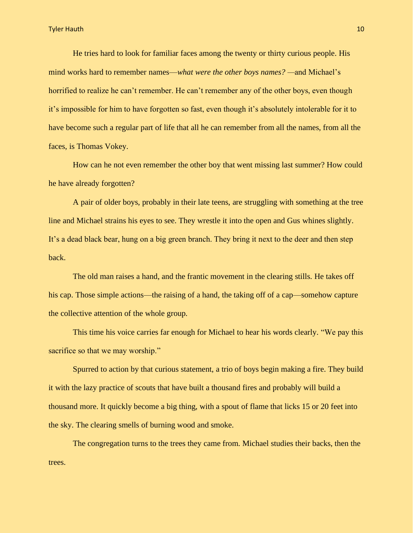He tries hard to look for familiar faces among the twenty or thirty curious people. His mind works hard to remember names—*what were the other boys names? —*and Michael's horrified to realize he can't remember. He can't remember any of the other boys, even though it's impossible for him to have forgotten so fast, even though it's absolutely intolerable for it to have become such a regular part of life that all he can remember from all the names, from all the faces, is Thomas Vokey.

How can he not even remember the other boy that went missing last summer? How could he have already forgotten?

A pair of older boys, probably in their late teens, are struggling with something at the tree line and Michael strains his eyes to see. They wrestle it into the open and Gus whines slightly. It's a dead black bear, hung on a big green branch. They bring it next to the deer and then step back.

The old man raises a hand, and the frantic movement in the clearing stills. He takes off his cap. Those simple actions—the raising of a hand, the taking off of a cap—somehow capture the collective attention of the whole group.

This time his voice carries far enough for Michael to hear his words clearly. "We pay this sacrifice so that we may worship."

Spurred to action by that curious statement, a trio of boys begin making a fire. They build it with the lazy practice of scouts that have built a thousand fires and probably will build a thousand more. It quickly become a big thing, with a spout of flame that licks 15 or 20 feet into the sky. The clearing smells of burning wood and smoke.

The congregation turns to the trees they came from. Michael studies their backs, then the trees.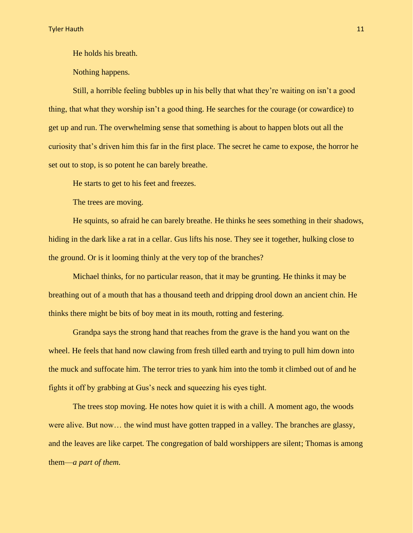He holds his breath.

Nothing happens.

Still, a horrible feeling bubbles up in his belly that what they're waiting on isn't a good thing, that what they worship isn't a good thing. He searches for the courage (or cowardice) to get up and run. The overwhelming sense that something is about to happen blots out all the curiosity that's driven him this far in the first place. The secret he came to expose, the horror he set out to stop, is so potent he can barely breathe.

He starts to get to his feet and freezes.

The trees are moving.

He squints, so afraid he can barely breathe. He thinks he sees something in their shadows, hiding in the dark like a rat in a cellar. Gus lifts his nose. They see it together, hulking close to the ground. Or is it looming thinly at the very top of the branches?

Michael thinks, for no particular reason, that it may be grunting. He thinks it may be breathing out of a mouth that has a thousand teeth and dripping drool down an ancient chin. He thinks there might be bits of boy meat in its mouth, rotting and festering.

Grandpa says the strong hand that reaches from the grave is the hand you want on the wheel. He feels that hand now clawing from fresh tilled earth and trying to pull him down into the muck and suffocate him. The terror tries to yank him into the tomb it climbed out of and he fights it off by grabbing at Gus's neck and squeezing his eyes tight.

The trees stop moving. He notes how quiet it is with a chill. A moment ago, the woods were alive. But now… the wind must have gotten trapped in a valley. The branches are glassy, and the leaves are like carpet. The congregation of bald worshippers are silent; Thomas is among them—*a part of them*.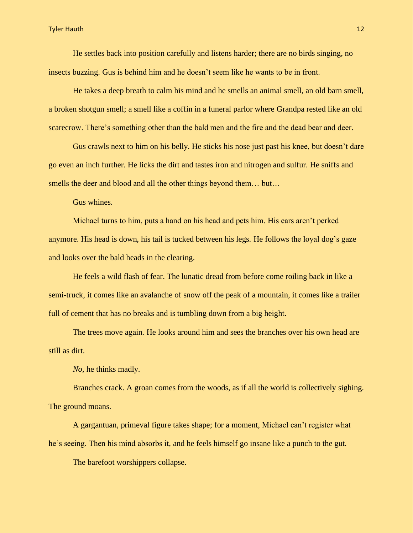He settles back into position carefully and listens harder; there are no birds singing, no insects buzzing. Gus is behind him and he doesn't seem like he wants to be in front.

He takes a deep breath to calm his mind and he smells an animal smell, an old barn smell, a broken shotgun smell; a smell like a coffin in a funeral parlor where Grandpa rested like an old scarecrow. There's something other than the bald men and the fire and the dead bear and deer.

Gus crawls next to him on his belly. He sticks his nose just past his knee, but doesn't dare go even an inch further. He licks the dirt and tastes iron and nitrogen and sulfur. He sniffs and smells the deer and blood and all the other things beyond them… but…

Gus whines.

Michael turns to him, puts a hand on his head and pets him. His ears aren't perked anymore. His head is down, his tail is tucked between his legs. He follows the loyal dog's gaze and looks over the bald heads in the clearing.

He feels a wild flash of fear. The lunatic dread from before come roiling back in like a semi-truck, it comes like an avalanche of snow off the peak of a mountain, it comes like a trailer full of cement that has no breaks and is tumbling down from a big height.

The trees move again. He looks around him and sees the branches over his own head are still as dirt.

*No,* he thinks madly.

Branches crack. A groan comes from the woods, as if all the world is collectively sighing. The ground moans.

A gargantuan, primeval figure takes shape; for a moment, Michael can't register what he's seeing. Then his mind absorbs it, and he feels himself go insane like a punch to the gut.

The barefoot worshippers collapse.